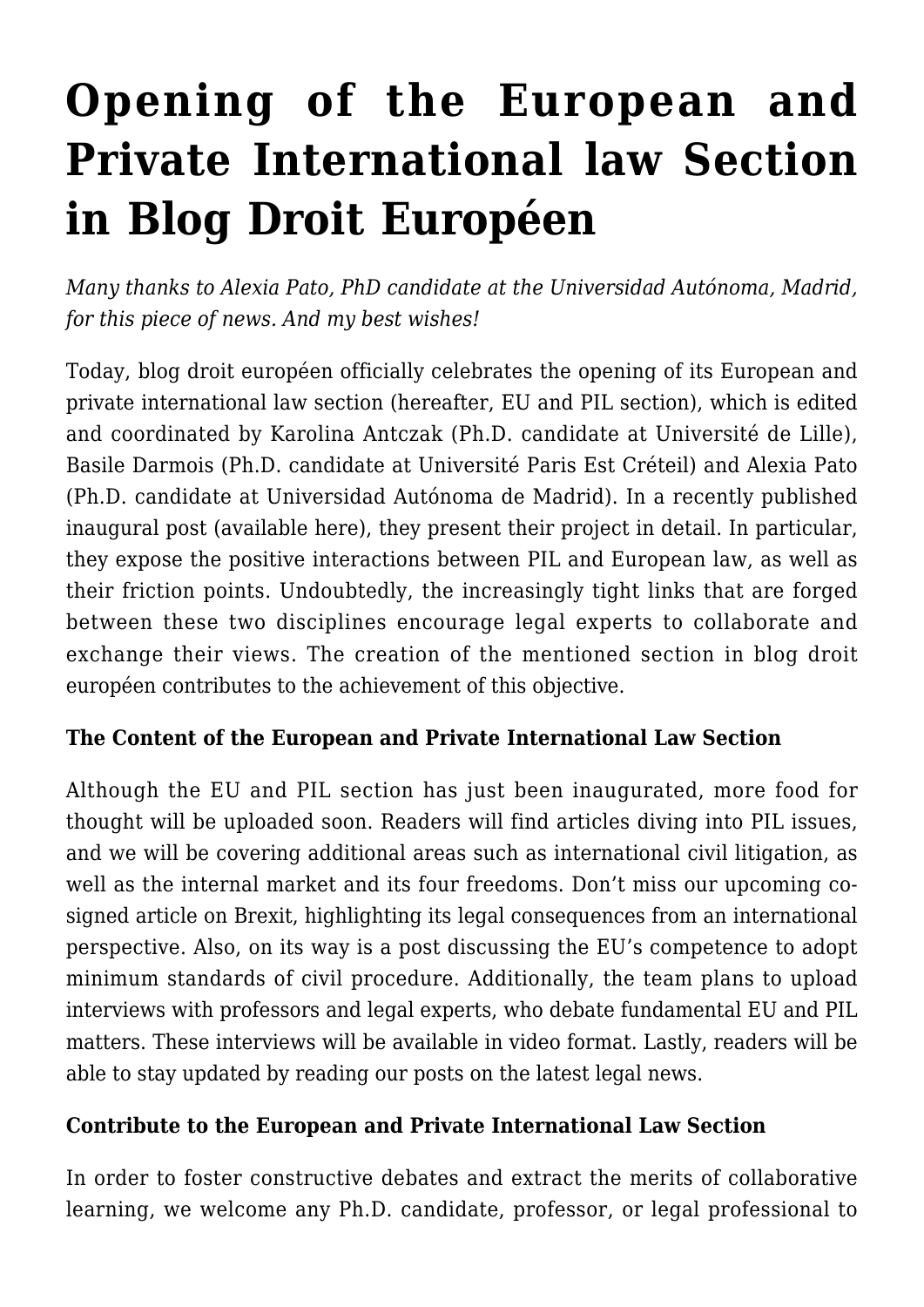# **[Opening of the European and](https://conflictoflaws.net/2016/opening-of-the-european-and-private-international-law-section-in-blog-droit-europeen/) [Private International law Section](https://conflictoflaws.net/2016/opening-of-the-european-and-private-international-law-section-in-blog-droit-europeen/) [in Blog Droit Européen](https://conflictoflaws.net/2016/opening-of-the-european-and-private-international-law-section-in-blog-droit-europeen/)**

*Many thanks to Alexia Pato, PhD candidate at the Universidad Autónoma, Madrid, for this piece of news. And my best wishes!*

Today, [blog droit européen](https://blogdroiteuropeen.com/) officially celebrates the opening of its European and private international law section (hereafter, EU and PIL section), which is edited and coordinated by Karolina Antczak (Ph.D. candidate at Université de Lille), Basile Darmois (Ph.D. candidate at Université Paris Est Créteil) and Alexia Pato (Ph.D. candidate at Universidad Autónoma de Madrid). In a recently published inaugural post (available [here](https://blogdroiteuropeen.com/2016/09/22/propos-preliminaires-a-louverture-de-la-section-de-droit-international-prive-et-europeen/)), they present their project in detail. In particular, they expose the positive interactions between PIL and European law, as well as their friction points. Undoubtedly, the increasingly tight links that are forged between these two disciplines encourage legal experts to collaborate and exchange their views. The creation of the mentioned section in blog droit européen contributes to the achievement of this objective.

# **The Content of the European and Private International Law Section**

Although the EU and PIL section has just been inaugurated, more food for thought will be uploaded soon. Readers will find articles diving into PIL issues, and we will be covering additional areas such as international civil litigation, as well as the internal market and its four freedoms. Don't miss our upcoming cosigned article on Brexit, highlighting its legal consequences from an international perspective. Also, on its way is a post discussing the EU's competence to adopt minimum standards of civil procedure. Additionally, the team plans to upload interviews with professors and legal experts, who debate fundamental EU and PIL matters. These interviews will be available in video format. Lastly, readers will be able to stay updated by reading our posts on the latest legal news.

### **Contribute to the European and Private International Law Section**

In order to foster constructive debates and extract the merits of collaborative learning, we welcome any Ph.D. candidate, professor, or legal professional to